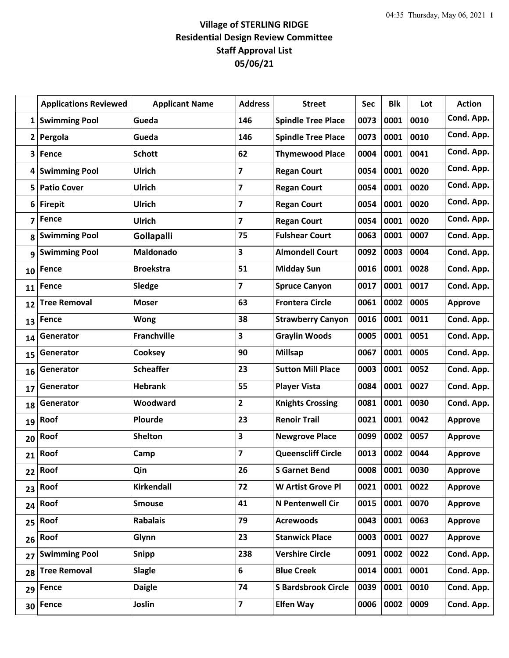|                         | <b>Applications Reviewed</b> | <b>Applicant Name</b> | <b>Address</b>          | <b>Street</b>              | Sec  | <b>Blk</b> | Lot  | <b>Action</b>  |
|-------------------------|------------------------------|-----------------------|-------------------------|----------------------------|------|------------|------|----------------|
| $1\vert$                | <b>Swimming Pool</b>         | Gueda                 | 146                     | <b>Spindle Tree Place</b>  | 0073 | 0001       | 0010 | Cond. App.     |
| 2 <sub>1</sub>          | Pergola                      | Gueda                 | 146                     | <b>Spindle Tree Place</b>  | 0073 | 0001       | 0010 | Cond. App.     |
| 3                       | <b>Fence</b>                 | <b>Schott</b>         | 62                      | <b>Thymewood Place</b>     | 0004 | 0001       | 0041 | Cond. App.     |
| 4                       | <b>Swimming Pool</b>         | <b>Ulrich</b>         | $\overline{\mathbf{z}}$ | <b>Regan Court</b>         | 0054 | 0001       | 0020 | Cond. App.     |
| 5                       | <b>Patio Cover</b>           | Ulrich                | $\overline{\mathbf{z}}$ | <b>Regan Court</b>         | 0054 | 0001       | 0020 | Cond. App.     |
| 6                       | <b>Firepit</b>               | <b>Ulrich</b>         | $\overline{\mathbf{z}}$ | <b>Regan Court</b>         | 0054 | 0001       | 0020 | Cond. App.     |
| $\overline{\mathbf{z}}$ | Fence                        | <b>Ulrich</b>         | $\overline{\mathbf{z}}$ | <b>Regan Court</b>         | 0054 | 0001       | 0020 | Cond. App.     |
| 8                       | <b>Swimming Pool</b>         | Gollapalli            | 75                      | <b>Fulshear Court</b>      | 0063 | 0001       | 0007 | Cond. App.     |
| 9                       | <b>Swimming Pool</b>         | Maldonado             | 3                       | <b>Almondell Court</b>     | 0092 | 0003       | 0004 | Cond. App.     |
| 10                      | Fence                        | <b>Broekstra</b>      | 51                      | <b>Midday Sun</b>          | 0016 | 0001       | 0028 | Cond. App.     |
| 11                      | Fence                        | Sledge                | $\overline{\mathbf{z}}$ | <b>Spruce Canyon</b>       | 0017 | 0001       | 0017 | Cond. App.     |
| 12                      | <b>Tree Removal</b>          | <b>Moser</b>          | 63                      | <b>Frontera Circle</b>     | 0061 | 0002       | 0005 | <b>Approve</b> |
| 13                      | <b>Fence</b>                 | <b>Wong</b>           | 38                      | <b>Strawberry Canyon</b>   | 0016 | 0001       | 0011 | Cond. App.     |
| 14                      | Generator                    | <b>Franchville</b>    | $\overline{\mathbf{3}}$ | <b>Graylin Woods</b>       | 0005 | 0001       | 0051 | Cond. App.     |
| 15                      | Generator                    | Cooksey               | 90                      | <b>Millsap</b>             | 0067 | 0001       | 0005 | Cond. App.     |
| 16                      | Generator                    | <b>Scheaffer</b>      | 23                      | <b>Sutton Mill Place</b>   | 0003 | 0001       | 0052 | Cond. App.     |
| 17                      | Generator                    | <b>Hebrank</b>        | 55                      | <b>Player Vista</b>        | 0084 | 0001       | 0027 | Cond. App.     |
| 18                      | Generator                    | Woodward              | $\overline{2}$          | <b>Knights Crossing</b>    | 0081 | 0001       | 0030 | Cond. App.     |
| 19                      | Roof                         | Plourde               | 23                      | <b>Renoir Trail</b>        | 0021 | 0001       | 0042 | <b>Approve</b> |
| 20                      | Roof                         | <b>Shelton</b>        | 3                       | <b>Newgrove Place</b>      | 0099 | 0002       | 0057 | <b>Approve</b> |
| 21                      | <b>Roof</b>                  | Camp                  | 7                       | <b>Queenscliff Circle</b>  | 0013 | 0002       | 0044 | <b>Approve</b> |
| 22                      | Roof                         | Qin                   | 26                      | <b>S</b> Garnet Bend       | 0008 | 0001       | 0030 | <b>Approve</b> |
| 23                      | Roof                         | Kirkendall            | 72                      | <b>W Artist Grove Pl</b>   | 0021 | 0001       | 0022 | <b>Approve</b> |
| 24                      | Roof                         | <b>Smouse</b>         | 41                      | N Pentenwell Cir           | 0015 | 0001       | 0070 | <b>Approve</b> |
| 25                      | Roof                         | <b>Rabalais</b>       | 79                      | <b>Acrewoods</b>           | 0043 | 0001       | 0063 | <b>Approve</b> |
| 26                      | Roof                         | Glynn                 | 23                      | <b>Stanwick Place</b>      | 0003 | 0001       | 0027 | <b>Approve</b> |
| 27                      | <b>Swimming Pool</b>         | <b>Snipp</b>          | 238                     | <b>Vershire Circle</b>     | 0091 | 0002       | 0022 | Cond. App.     |
| 28                      | <b>Tree Removal</b>          | <b>Slagle</b>         | 6                       | <b>Blue Creek</b>          | 0014 | 0001       | 0001 | Cond. App.     |
| 29                      | Fence                        | <b>Daigle</b>         | 74                      | <b>S Bardsbrook Circle</b> | 0039 | 0001       | 0010 | Cond. App.     |
| 30 <sup>1</sup>         | Fence                        | Joslin                | $\overline{\mathbf{z}}$ | <b>Elfen Way</b>           | 0006 | 0002       | 0009 | Cond. App.     |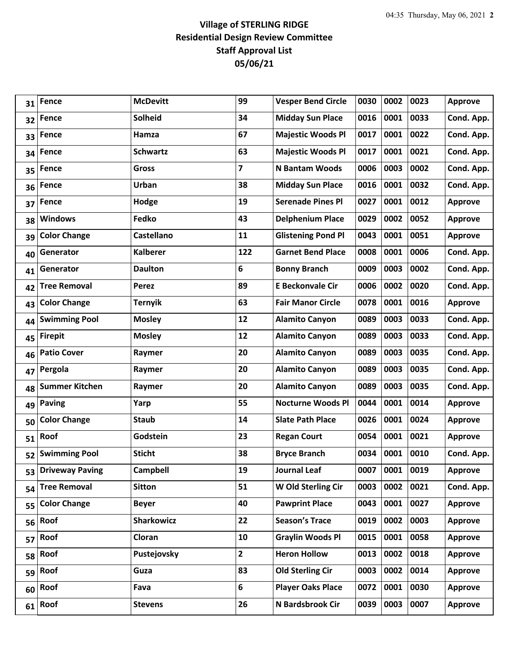| 31 | Fence                  | <b>McDevitt</b>   | 99                      | <b>Vesper Bend Circle</b> | 0030 | 0002 | 0023 | Approve        |
|----|------------------------|-------------------|-------------------------|---------------------------|------|------|------|----------------|
| 32 | <b>Fence</b>           | Solheid           | 34                      | <b>Midday Sun Place</b>   | 0016 | 0001 | 0033 | Cond. App.     |
| 33 | <b>Fence</b>           | Hamza             | 67                      | <b>Majestic Woods Pl</b>  | 0017 | 0001 | 0022 | Cond. App.     |
| 34 | <b>Fence</b>           | <b>Schwartz</b>   | 63                      | <b>Majestic Woods Pl</b>  | 0017 | 0001 | 0021 | Cond. App.     |
| 35 | Fence                  | Gross             | $\overline{\mathbf{z}}$ | <b>N Bantam Woods</b>     | 0006 | 0003 | 0002 | Cond. App.     |
| 36 | <b>Fence</b>           | Urban             | 38                      | <b>Midday Sun Place</b>   | 0016 | 0001 | 0032 | Cond. App.     |
| 37 | <b>Fence</b>           | Hodge             | 19                      | <b>Serenade Pines Pl</b>  | 0027 | 0001 | 0012 | <b>Approve</b> |
| 38 | <b>Windows</b>         | Fedko             | 43                      | <b>Delphenium Place</b>   | 0029 | 0002 | 0052 | <b>Approve</b> |
| 39 | <b>Color Change</b>    | <b>Castellano</b> | 11                      | <b>Glistening Pond Pl</b> | 0043 | 0001 | 0051 | <b>Approve</b> |
| 40 | Generator              | <b>Kalberer</b>   | 122                     | <b>Garnet Bend Place</b>  | 0008 | 0001 | 0006 | Cond. App.     |
| 41 | Generator              | <b>Daulton</b>    | 6                       | <b>Bonny Branch</b>       | 0009 | 0003 | 0002 | Cond. App.     |
| 42 | <b>Tree Removal</b>    | Perez             | 89                      | <b>E Beckonvale Cir</b>   | 0006 | 0002 | 0020 | Cond. App.     |
| 43 | <b>Color Change</b>    | <b>Ternyik</b>    | 63                      | <b>Fair Manor Circle</b>  | 0078 | 0001 | 0016 | <b>Approve</b> |
| 44 | <b>Swimming Pool</b>   | <b>Mosley</b>     | 12                      | <b>Alamito Canyon</b>     | 0089 | 0003 | 0033 | Cond. App.     |
| 45 | <b>Firepit</b>         | <b>Mosley</b>     | 12                      | <b>Alamito Canyon</b>     | 0089 | 0003 | 0033 | Cond. App.     |
| 46 | <b>Patio Cover</b>     | Raymer            | 20                      | <b>Alamito Canyon</b>     | 0089 | 0003 | 0035 | Cond. App.     |
| 47 | Pergola                | Raymer            | 20                      | <b>Alamito Canyon</b>     | 0089 | 0003 | 0035 | Cond. App.     |
| 48 | <b>Summer Kitchen</b>  | Raymer            | 20                      | <b>Alamito Canyon</b>     | 0089 | 0003 | 0035 | Cond. App.     |
| 49 | <b>Paving</b>          | Yarp              | 55                      | <b>Nocturne Woods Pl</b>  | 0044 | 0001 | 0014 | <b>Approve</b> |
| 50 | <b>Color Change</b>    | <b>Staub</b>      | 14                      | <b>Slate Path Place</b>   | 0026 | 0001 | 0024 | <b>Approve</b> |
| 51 | Roof                   | Godstein          | 23                      | <b>Regan Court</b>        | 0054 | 0001 | 0021 | <b>Approve</b> |
| 52 | <b>Swimming Pool</b>   | <b>Sticht</b>     | 38                      | <b>Bryce Branch</b>       | 0034 | 0001 | 0010 | Cond. App.     |
| 53 | <b>Driveway Paving</b> | <b>Campbell</b>   | 19                      | <b>Journal Leaf</b>       | 0007 | 0001 | 0019 | Approve        |
| 54 | <b>Tree Removal</b>    | <b>Sitton</b>     | 51                      | W Old Sterling Cir        | 0003 | 0002 | 0021 | Cond. App.     |
| 55 | <b>Color Change</b>    | <b>Beyer</b>      | 40                      | <b>Pawprint Place</b>     | 0043 | 0001 | 0027 | <b>Approve</b> |
| 56 | Roof                   | <b>Sharkowicz</b> | 22                      | <b>Season's Trace</b>     | 0019 | 0002 | 0003 | <b>Approve</b> |
| 57 | Roof                   | Cloran            | 10                      | <b>Graylin Woods Pl</b>   | 0015 | 0001 | 0058 | <b>Approve</b> |
| 58 | Roof                   | Pustejovsky       | $\overline{2}$          | <b>Heron Hollow</b>       | 0013 | 0002 | 0018 | <b>Approve</b> |
| 59 | Roof                   | Guza              | 83                      | <b>Old Sterling Cir</b>   | 0003 | 0002 | 0014 | Approve        |
| 60 | Roof                   | Fava              | 6                       | <b>Player Oaks Place</b>  | 0072 | 0001 | 0030 | <b>Approve</b> |
| 61 | Roof                   | <b>Stevens</b>    | 26                      | N Bardsbrook Cir          | 0039 | 0003 | 0007 | <b>Approve</b> |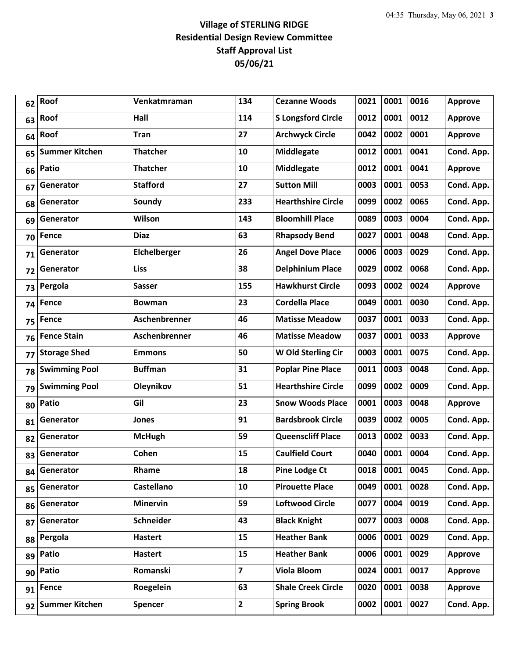| 62 | Roof                  | Venkatmraman         | 134                     | <b>Cezanne Woods</b>      | 0021 | 0001 | 0016 | <b>Approve</b> |
|----|-----------------------|----------------------|-------------------------|---------------------------|------|------|------|----------------|
| 63 | Roof                  | Hall                 | 114                     | <b>S Longsford Circle</b> | 0012 | 0001 | 0012 | <b>Approve</b> |
| 64 | Roof                  | Tran                 | 27                      | <b>Archwyck Circle</b>    | 0042 | 0002 | 0001 | <b>Approve</b> |
| 65 | <b>Summer Kitchen</b> | <b>Thatcher</b>      | 10                      | Middlegate                | 0012 | 0001 | 0041 | Cond. App.     |
| 66 | Patio                 | <b>Thatcher</b>      | 10                      | <b>Middlegate</b>         | 0012 | 0001 | 0041 | <b>Approve</b> |
| 67 | Generator             | <b>Stafford</b>      | 27                      | <b>Sutton Mill</b>        | 0003 | 0001 | 0053 | Cond. App.     |
| 68 | Generator             | Soundy               | 233                     | <b>Hearthshire Circle</b> | 0099 | 0002 | 0065 | Cond. App.     |
| 69 | Generator             | Wilson               | 143                     | <b>Bloomhill Place</b>    | 0089 | 0003 | 0004 | Cond. App.     |
| 70 | Fence                 | <b>Diaz</b>          | 63                      | <b>Rhapsody Bend</b>      | 0027 | 0001 | 0048 | Cond. App.     |
| 71 | Generator             | Elchelberger         | 26                      | <b>Angel Dove Place</b>   | 0006 | 0003 | 0029 | Cond. App.     |
| 72 | Generator             | <b>Liss</b>          | 38                      | <b>Delphinium Place</b>   | 0029 | 0002 | 0068 | Cond. App.     |
| 73 | Pergola               | <b>Sasser</b>        | 155                     | <b>Hawkhurst Circle</b>   | 0093 | 0002 | 0024 | <b>Approve</b> |
| 74 | <b>Fence</b>          | <b>Bowman</b>        | 23                      | <b>Cordella Place</b>     | 0049 | 0001 | 0030 | Cond. App.     |
| 75 | Fence                 | <b>Aschenbrenner</b> | 46                      | <b>Matisse Meadow</b>     | 0037 | 0001 | 0033 | Cond. App.     |
| 76 | <b>Fence Stain</b>    | Aschenbrenner        | 46                      | <b>Matisse Meadow</b>     | 0037 | 0001 | 0033 | <b>Approve</b> |
| 77 | <b>Storage Shed</b>   | <b>Emmons</b>        | 50                      | W Old Sterling Cir        | 0003 | 0001 | 0075 | Cond. App.     |
| 78 | <b>Swimming Pool</b>  | <b>Buffman</b>       | 31                      | <b>Poplar Pine Place</b>  | 0011 | 0003 | 0048 | Cond. App.     |
| 79 | <b>Swimming Pool</b>  | Oleynikov            | 51                      | <b>Hearthshire Circle</b> | 0099 | 0002 | 0009 | Cond. App.     |
| 80 | Patio                 | Gil                  | 23                      | <b>Snow Woods Place</b>   | 0001 | 0003 | 0048 | <b>Approve</b> |
| 81 | Generator             | Jones                | 91                      | <b>Bardsbrook Circle</b>  | 0039 | 0002 | 0005 | Cond. App.     |
| 82 | Generator             | <b>McHugh</b>        | 59                      | <b>Queenscliff Place</b>  | 0013 | 0002 | 0033 | Cond. App.     |
| 83 | Generator             | Cohen                | 15                      | <b>Caulfield Court</b>    | 0040 | 0001 | 0004 | Cond. App.     |
| 84 | Generator             | Rhame                | 18                      | <b>Pine Lodge Ct</b>      | 0018 | 0001 | 0045 | Cond. App.     |
| 85 | Generator             | Castellano           | 10                      | <b>Pirouette Place</b>    | 0049 | 0001 | 0028 | Cond. App.     |
| 86 | Generator             | <b>Minervin</b>      | 59                      | <b>Loftwood Circle</b>    | 0077 | 0004 | 0019 | Cond. App.     |
| 87 | Generator             | Schneider            | 43                      | <b>Black Knight</b>       | 0077 | 0003 | 0008 | Cond. App.     |
| 88 | Pergola               | <b>Hastert</b>       | 15                      | <b>Heather Bank</b>       | 0006 | 0001 | 0029 | Cond. App.     |
| 89 | Patio                 | <b>Hastert</b>       | 15                      | <b>Heather Bank</b>       | 0006 | 0001 | 0029 | <b>Approve</b> |
| 90 | Patio                 | Romanski             | $\overline{\mathbf{z}}$ | <b>Viola Bloom</b>        | 0024 | 0001 | 0017 | Approve        |
| 91 | Fence                 | Roegelein            | 63                      | <b>Shale Creek Circle</b> | 0020 | 0001 | 0038 | <b>Approve</b> |
| 92 | <b>Summer Kitchen</b> | <b>Spencer</b>       | $\overline{2}$          | <b>Spring Brook</b>       | 0002 | 0001 | 0027 | Cond. App.     |